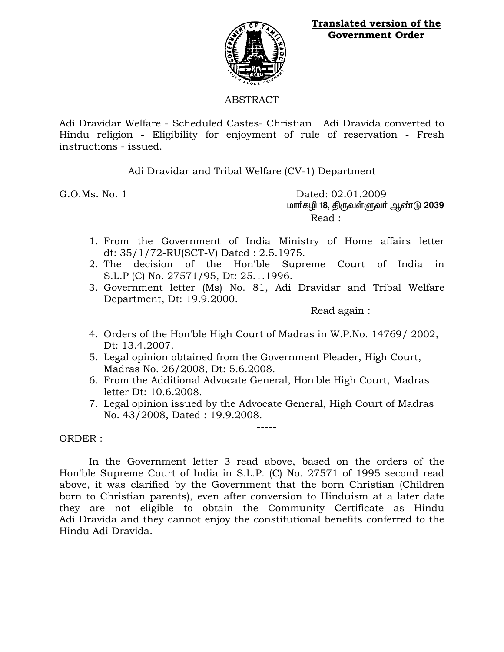

**Translated version of the Government Order**

## ABSTRACT

Adi Dravidar Welfare - Scheduled Castes- Christian Adi Dravida converted to Hindu religion - Eligibility for enjoyment of rule of reservation - Fresh instructions - issued.

Adi Dravidar and Tribal Welfare (CV-1) Department

G.O.Ms. No. 1 Dated: 02.01.2009 மார்கழி 18, திருவள்ளுவர் ஆண்டு 2039 Read :

- 1. From the Government of India Ministry of Home affairs letter dt: 35/1/72-RU(SCT-V) Dated : 2.5.1975.
- 2. The decision of the Hon'ble Supreme Court of India in S.L.P (C) No. 27571/95, Dt: 25.1.1996.
- 3. Government letter (Ms) No. 81, Adi Dravidar and Tribal Welfare Department, Dt: 19.9.2000.

Read again :

- 4. Orders of the Hon'ble High Court of Madras in W.P.No. 14769/ 2002, Dt: 13.4.2007.
- 5. Legal opinion obtained from the Government Pleader, High Court, Madras No. 26/2008, Dt: 5.6.2008.
- 6. From the Additional Advocate General, Hon'ble High Court, Madras letter Dt: 10.6.2008.
- 7. Legal opinion issued by the Advocate General, High Court of Madras No. 43/2008, Dated : 19.9.2008.

-----

## ORDER :

 In the Government letter 3 read above, based on the orders of the Hon'ble Supreme Court of India in S.L.P. (C) No. 27571 of 1995 second read above, it was clarified by the Government that the born Christian (Children born to Christian parents), even after conversion to Hinduism at a later date they are not eligible to obtain the Community Certificate as Hindu Adi Dravida and they cannot enjoy the constitutional benefits conferred to the Hindu Adi Dravida.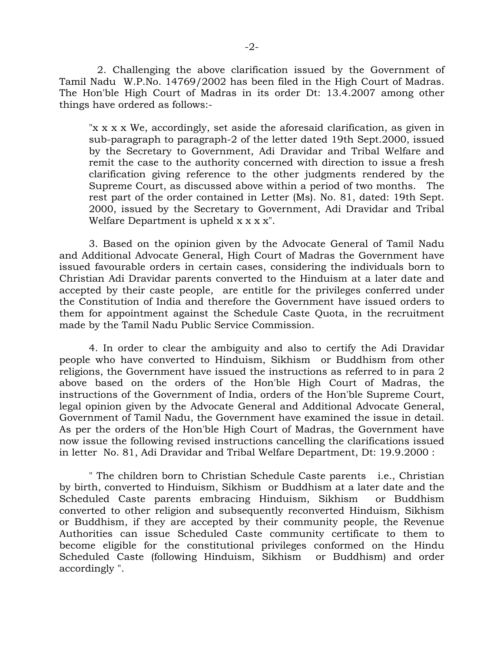2. Challenging the above clarification issued by the Government of Tamil Nadu W.P.No. 14769/2002 has been filed in the High Court of Madras. The Hon'ble High Court of Madras in its order Dt: 13.4.2007 among other things have ordered as follows:-

"x x x x We, accordingly, set aside the aforesaid clarification, as given in sub-paragraph to paragraph-2 of the letter dated 19th Sept.2000, issued by the Secretary to Government, Adi Dravidar and Tribal Welfare and remit the case to the authority concerned with direction to issue a fresh clarification giving reference to the other judgments rendered by the Supreme Court, as discussed above within a period of two months. The rest part of the order contained in Letter (Ms). No. 81, dated: 19th Sept. 2000, issued by the Secretary to Government, Adi Dravidar and Tribal Welfare Department is upheld  $x \times x$ ".

 3. Based on the opinion given by the Advocate General of Tamil Nadu and Additional Advocate General, High Court of Madras the Government have issued favourable orders in certain cases, considering the individuals born to Christian Adi Dravidar parents converted to the Hinduism at a later date and accepted by their caste people, are entitle for the privileges conferred under the Constitution of India and therefore the Government have issued orders to them for appointment against the Schedule Caste Quota, in the recruitment made by the Tamil Nadu Public Service Commission.

 4. In order to clear the ambiguity and also to certify the Adi Dravidar people who have converted to Hinduism, Sikhism or Buddhism from other religions, the Government have issued the instructions as referred to in para 2 above based on the orders of the Hon'ble High Court of Madras, the instructions of the Government of India, orders of the Hon'ble Supreme Court, legal opinion given by the Advocate General and Additional Advocate General, Government of Tamil Nadu, the Government have examined the issue in detail. As per the orders of the Hon'ble High Court of Madras, the Government have now issue the following revised instructions cancelling the clarifications issued in letter No. 81, Adi Dravidar and Tribal Welfare Department, Dt: 19.9.2000 :

 " The children born to Christian Schedule Caste parents i.e., Christian by birth, converted to Hinduism, Sikhism or Buddhism at a later date and the Scheduled Caste parents embracing Hinduism, Sikhism or Buddhism converted to other religion and subsequently reconverted Hinduism, Sikhism or Buddhism, if they are accepted by their community people, the Revenue Authorities can issue Scheduled Caste community certificate to them to become eligible for the constitutional privileges conformed on the Hindu Scheduled Caste (following Hinduism, Sikhism or Buddhism) and order accordingly ".